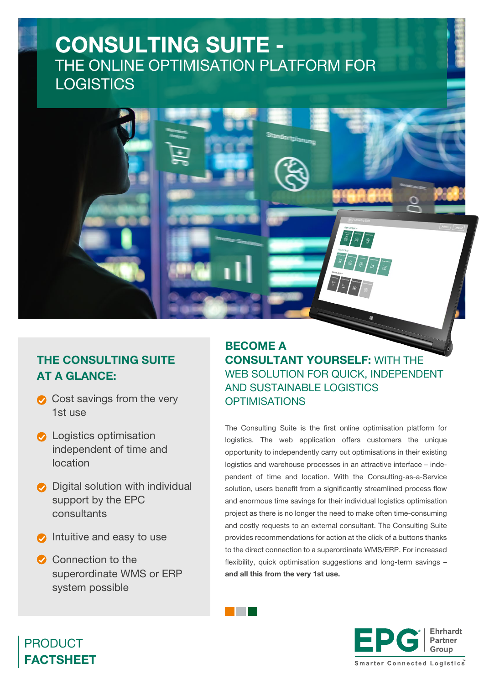# CONSULTING SUITE - THE ONLINE OPTIMISATION PLATFORM FOR **LOGISTICS**



- $\bullet$  Cost savings from the very 1st use
- **C** Logistics optimisation independent of time and location
- $\bullet$  Digital solution with individual support by the EPC consultants
- $\bullet$  Intuitive and easy to use
- Connection to the superordinate WMS or ERP system possible

BECOME A CONSULTANT YOURSELF: WITH THE WEB SOLUTION FOR QUICK, INDEPENDENT AND SUSTAINABLE LOGISTICS **OPTIMISATIONS** 

The Consulting Suite is the first online optimisation platform for logistics. The web application offers customers the unique opportunity to independently carry out optimisations in their existing logistics and warehouse processes in an attractive interface – independent of time and location. With the Consulting-as-a-Service solution, users benefit from a significantly streamlined process flow and enormous time savings for their individual logistics optimisation project as there is no longer the need to make often time-consuming and costly requests to an external consultant. The Consulting Suite provides recommendations for action at the click of a buttons thanks to the direct connection to a superordinate WMS/ERP. For increased flexibility, quick optimisation suggestions and long-term savings – and all this from the very 1st use.



### PRODUCT FACTSHEET